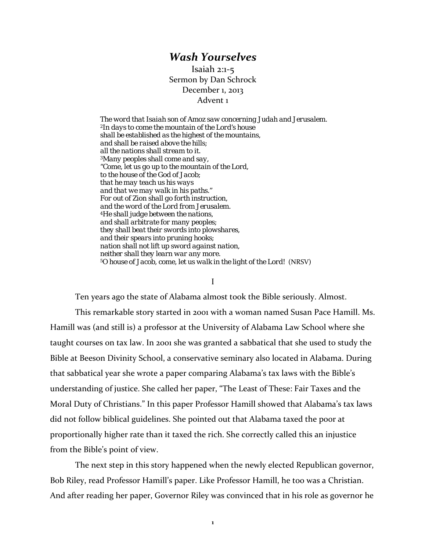## *Wash Yourselves*

Isaiah 2:1‐5 Sermon by Dan Schrock December 1, 2013 Advent 1

*The word that Isaiah son of Amoz saw concerning Judah and Jerusalem. 2In days to come the mountain of the Lord's house shall be established as the highest of the mountains, and shall be raised above the hills; all the nations shall stream to it. 3Many peoples shall come and say, "Come, let us go up to the mountain of the Lord, to the house of the God of Jacob; that he may teach us his ways and that we may walk in his paths." For out of Zion shall go forth instruction, and the word of the Lord from Jerusalem. 4He shall judge between the nations, and shall arbitrate for many peoples; they shall beat their swords into plowshares, and their spears into pruning hooks; nation shall not lift up sword against nation, neither shall they learn war any more. 5O house of Jacob, come, let us walk in the light of the Lord!* (NRSV)

I

Ten years ago the state of Alabama almost took the Bible seriously. Almost.

This remarkable story started in 2001 with a woman named Susan Pace Hamill. Ms. Hamill was (and still is) a professor at the University of Alabama Law School where she taught courses on tax law. In 2001 she was granted a sabbatical that she used to study the Bible at Beeson Divinity School, a conservative seminary also located in Alabama. During that sabbatical year she wrote a paper comparing Alabama's tax laws with the Bible's understanding of justice. She called her paper, "The Least of These: Fair Taxes and the Moral Duty of Christians." In this paper Professor Hamill showed that Alabama's tax laws did not follow biblical guidelines. She pointed out that Alabama taxed the poor at proportionally higher rate than it taxed the rich. She correctly called this an injustice from the Bible's point of view.

The next step in this story happened when the newly elected Republican governor, Bob Riley, read Professor Hamill's paper. Like Professor Hamill, he too was a Christian. And after reading her paper, Governor Riley was convinced that in his role as governor he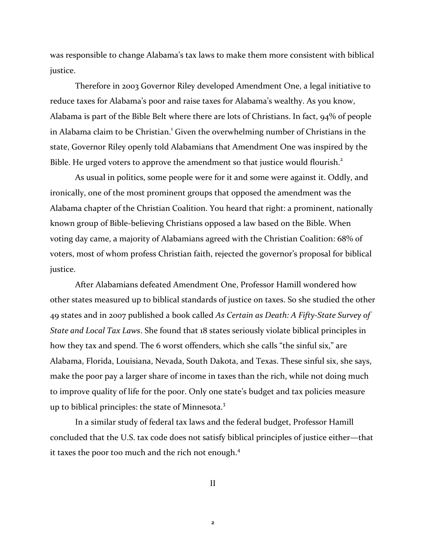was responsible to change Alabama's tax laws to make them more consistent with biblical justice.

Therefore in 2003 Governor Riley developed Amendment One, a legal initiative to reduce taxes for Alabama's poor and raise taxes for Alabama's wealthy. As you know, Alabama is part of the Bible Belt where there are lots of Christians. In fact, 94% of people in Alabama claim to be Christian.<sup>1</sup> Given the overwhelming number of Christians in the state, Governor Riley openly told Alabamians that Amendment One was inspired by the Bible. He urged voters to approve the amendment so that justice would flourish.<sup>2</sup>

As usual in politics, some people were for it and some were against it. Oddly, and ironically, one of the most prominent groups that opposed the amendment was the Alabama chapter of the Christian Coalition. You heard that right: a prominent, nationally known group of Bible-believing Christians opposed a law based on the Bible. When voting day came, a majority of Alabamians agreed with the Christian Coalition: 68% of voters, most of whom profess Christian faith, rejected the governor's proposal for biblical justice.

After Alabamians defeated Amendment One, Professor Hamill wondered how other states measured up to biblical standards of justice on taxes. So she studied the other 49 states and in 2007 published a book called *As Certain as Death: A Fifty‐State Survey of State and Local Tax Laws*. She found that 18 states seriously violate biblical principles in how they tax and spend. The 6 worst offenders, which she calls "the sinful six," are Alabama, Florida, Louisiana, Nevada, South Dakota, and Texas. These sinful six, she says, make the poor pay a larger share of income in taxes than the rich, while not doing much to improve quality of life for the poor. Only one state's budget and tax policies measure up to biblical principles: the state of Minnesota.<sup>3</sup>

In a similar study of federal tax laws and the federal budget, Professor Hamill concluded that the U.S. tax code does not satisfy biblical principles of justice either—that it taxes the poor too much and the rich not enough.<sup>4</sup>

II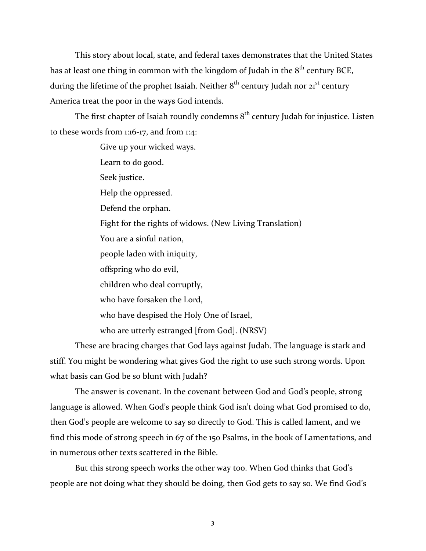This story about local, state, and federal taxes demonstrates that the United States has at least one thing in common with the kingdom of Judah in the  $8<sup>th</sup>$  century BCE, during the lifetime of the prophet Isaiah. Neither  $8<sup>th</sup>$  century Judah nor  $21<sup>st</sup>$  century America treat the poor in the ways God intends.

The first chapter of Isaiah roundly condemns  $8<sup>th</sup>$  century Judah for injustice. Listen to these words from 1:16‐17, and from 1:4:

> Give up your wicked ways. Learn to do good. Seek justice. Help the oppressed. Defend the orphan. Fight for the rights of widows. (New Living Translation) You are a sinful nation, people laden with iniquity, offspring who do evil, children who deal corruptly, who have forsaken the Lord, who have despised the Holy One of Israel, who are utterly estranged [from God]. (NRSV)

These are bracing charges that God lays against Judah. The language is stark and stiff. You might be wondering what gives God the right to use such strong words. Upon what basis can God be so blunt with Judah?

The answer is covenant. In the covenant between God and God's people, strong language is allowed. When God's people think God isn't doing what God promised to do, then God's people are welcome to say so directly to God. This is called lament, and we find this mode of strong speech in 67 of the 150 Psalms, in the book of Lamentations, and in numerous other texts scattered in the Bible.

But this strong speech works the other way too. When God thinks that God's people are not doing what they should be doing, then God gets to say so. We find God's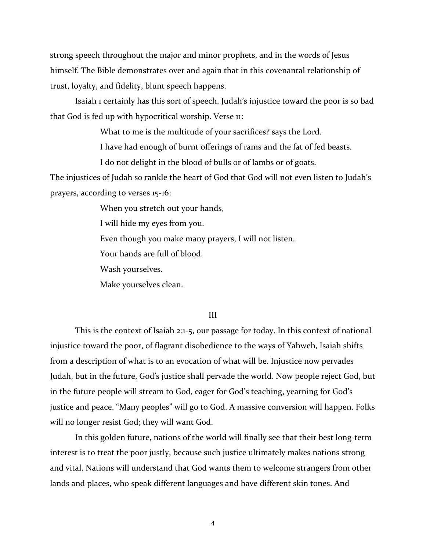strong speech throughout the major and minor prophets, and in the words of Jesus himself. The Bible demonstrates over and again that in this covenantal relationship of trust, loyalty, and fidelity, blunt speech happens.

Isaiah 1 certainly has this sort of speech. Judah's injustice toward the poor is so bad that God is fed up with hypocritical worship. Verse 11:

What to me is the multitude of your sacrifices? says the Lord.

I have had enough of burnt offerings of rams and the fat of fed beasts.

I do not delight in the blood of bulls or of lambs or of goats.

The injustices of Judah so rankle the heart of God that God will not even listen to Judah's prayers, according to verses 15‐16:

When you stretch out your hands,

I will hide my eyes from you.

Even though you make many prayers, I will not listen.

Your hands are full of blood.

Wash yourselves.

Make yourselves clean.

## III

This is the context of Isaiah 2:1‐5, our passage for today. In this context of national injustice toward the poor, of flagrant disobedience to the ways of Yahweh, Isaiah shifts from a description of what is to an evocation of what will be. Injustice now pervades Judah, but in the future, God's justice shall pervade the world. Now people reject God, but in the future people will stream to God, eager for God's teaching, yearning for God's justice and peace. "Many peoples" will go to God. A massive conversion will happen. Folks will no longer resist God; they will want God.

In this golden future, nations of the world will finally see that their best long‐term interest is to treat the poor justly, because such justice ultimately makes nations strong and vital. Nations will understand that God wants them to welcome strangers from other lands and places, who speak different languages and have different skin tones. And